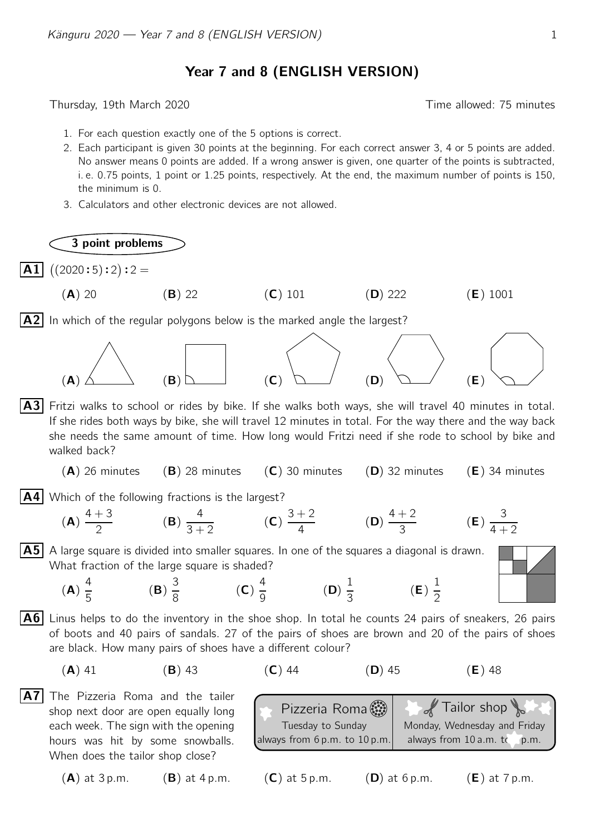Year 7 and 8 (ENGLISH VERSION)

Thursday, 19th March 2020 **Thursday**, 19th March 2020

3 point problems

- 1. For each question exactly one of the 5 options is correct.
- 2. Each participant is given 30 points at the beginning. For each correct answer 3, 4 or 5 points are added. No answer means 0 points are added. If a wrong answer is given, one quarter of the points is subtracted, i. e. 0.75 points, 1 point or 1.25 points, respectively. At the end, the maximum number of points is 150, the minimum is 0.
- 3. Calculators and other electronic devices are not allowed.

**A1**  $((2020:5):2):2 =$ 

(A) 20 (B) 22 (C) 101 (D) 222 (E) 1001  $|A2|$  In which of the regular polygons below is the marked angle the largest?



- A3 Fritzi walks to school or rides by bike. If she walks both ways, she will travel 40 minutes in total. If she rides both ways by bike, she will travel 12 minutes in total. For the way there and the way back she needs the same amount of time. How long would Fritzi need if she rode to school by bike and walked back?
	- $(A)$  26 minutes (B) 28 minutes (C) 30 minutes (D) 32 minutes (E) 34 minutes
- $|A4|$  Which of the following fractions is the largest?

(B) 3 8

(**A**) 
$$
\frac{4+3}{2}
$$
 (**B**)  $\frac{4}{3+2}$  (**C**)  $\frac{3+2}{4}$  (**D**)  $\frac{4+2}{3}$  (**E**)  $\frac{3}{4+2}$ 

 $|\mathbf{A5}|$  A large square is divided into smaller squares. In one of the squares a diagonal is drawn. What fraction of the large square is shaded?

> (C) 4 9

$$
\mathbf{A})\frac{4}{5}
$$

 $($ 

 $|A6|$  Linus helps to do the inventory in the shoe shop. In total he counts 24 pairs of sneakers, 26 pairs of boots and 40 pairs of sandals. 27 of the pairs of shoes are brown and 20 of the pairs of shoes are black. How many pairs of shoes have a different colour?

(D) 1 3

$$
(A) 41 \t\t (B) 43 \t\t (C) 44 \t\t (D) 45 \t\t (E) 48
$$

A7 The Pizzeria Roma and the tailer shop next door are open equally long each week. The sign with the opening hours was hit by some snowballs. When does the tailor shop close?

Pizzeria Roma Tuesday to Sunday always from 6 p.m. to 10 p.m. Tailor shop Monday, Wednesday and Friday always from 10 a.m. to 6 p.m. (A) at 3 p.m. (B) at 4 p.m. (C) at 5 p.m. (D) at 6 p.m. (E) at 7 p.m.

(E) 1 2

$$
(\mathbf{A}) \text{ at } 3 \text{ p.m.} \qquad (\mathbf{B}) \text{ at } 4 \text{ p.m.}
$$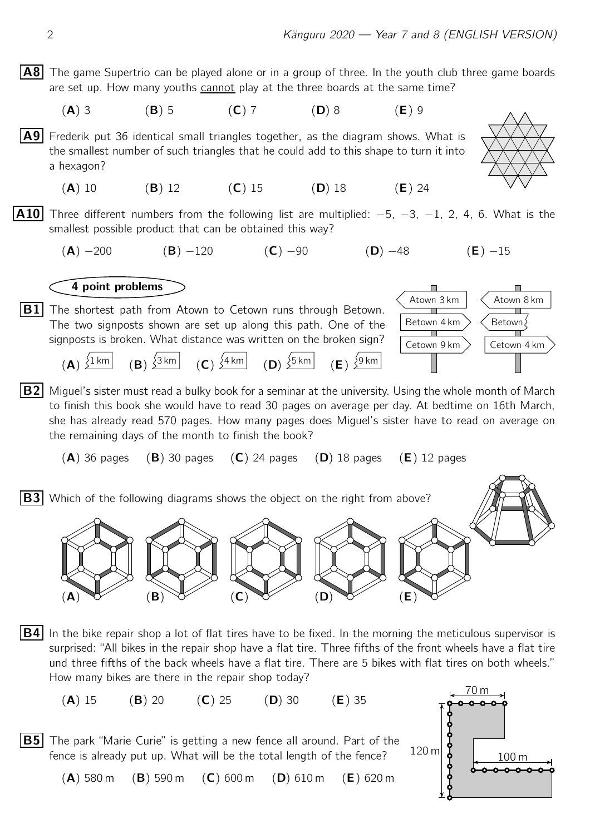A8 The game Supertrio can be played alone or in a group of three. In the youth club three game boards are set up. How many youths cannot play at the three boards at the same time?

(A) 3 (B) 5 (C) 7 (D) 8 (E) 9

A9 Frederik put 36 identical small triangles together, as the diagram shows. What is the smallest number of such triangles that he could add to this shape to turn it into a hexagon?

(A) 10 (B) 12 (C) 15 (D) 18 (E) 24

**A10** Three different numbers from the following list are multiplied:  $-5$ ,  $-3$ ,  $-1$ , 2, 4, 6. What is the smallest possible product that can be obtained this way?

(A)  $-200$  (B)  $-120$  (C)  $-90$  (D)  $-48$  (E)  $-15$ 

4 point problems

 $\overline{B1}$  The shortest path from Atown to Cetown runs through Betown. The two signposts shown are set up along this path. One of the signposts is broken. What distance was written on the broken sign?



|  |  |  | (A) $\sqrt{1 \text{ km}}$ (B) $\sqrt{3 \text{ km}}$ (C) $\sqrt{4 \text{ km}}$ (D) $\sqrt{5 \text{ km}}$ (E) $\sqrt{9 \text{ km}}$ |  |
|--|--|--|-----------------------------------------------------------------------------------------------------------------------------------|--|
|--|--|--|-----------------------------------------------------------------------------------------------------------------------------------|--|

 $|B2|$  Miquel's sister must read a bulky book for a seminar at the university. Using the whole month of March to finish this book she would have to read 30 pages on average per day. At bedtime on 16th March, she has already read 570 pages. How many pages does Miguel's sister have to read on average on the remaining days of the month to finish the book?

 $(A)$  36 pages  $(B)$  30 pages  $(C)$  24 pages  $(D)$  18 pages  $(E)$  12 pages

**B3** Which of the following diagrams shows the object on the right from above?



 $|B4|$  In the bike repair shop a lot of flat tires have to be fixed. In the morning the meticulous supervisor is surprised: "All bikes in the repair shop have a flat tire. Three fifths of the front wheels have a flat tire und three fifths of the back wheels have a flat tire. There are 5 bikes with flat tires on both wheels." How many bikes are there in the repair shop today?

(**A**) 15 (**B**) 20 (**C**) 25 (**D**) 30 (**E**) 35

**B5** The park "Marie Curie" is getting a new fence all around. Part of the fence is already put up. What will be the total length of the fence?



 $(A)$  580 m  $(B)$  590 m  $(C)$  600 m  $(D)$  610 m  $(E)$  620 m

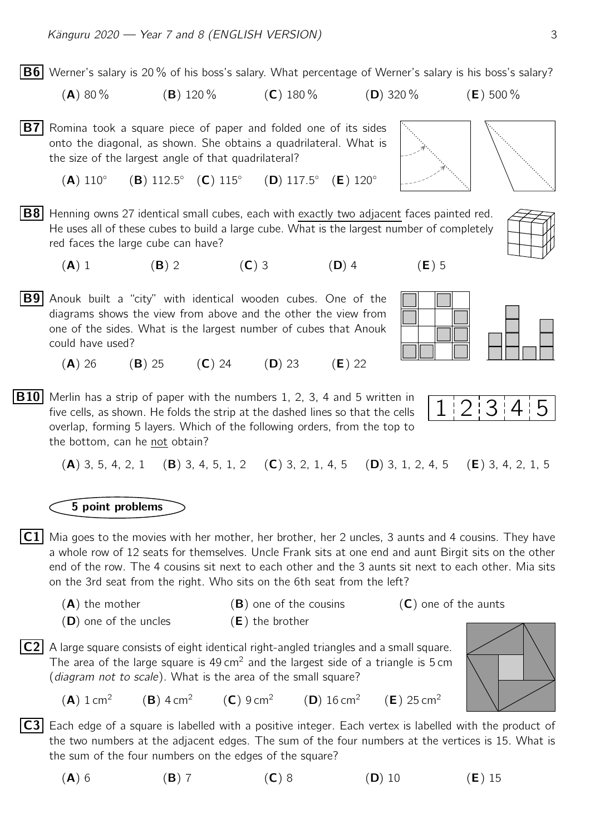$|B6|$  Werner's salary is 20% of his boss's salary. What percentage of Werner's salary is his boss's salary? (A) 80 % (B) 120 % (C) 180 % (D) 320 % (E) 500 % **B7** Romina took a square piece of paper and folded one of its sides onto the diagonal, as shown. She obtains a quadrilateral. What is the size of the largest angle of that quadrilateral?  $(A) 110°$  $(B) 112.5° (C) 115°$  $(D) 117.5° (E) 120°$ **B8** Henning owns 27 identical small cubes, each with exactly two adjacent faces painted red.

- He uses all of these cubes to build a large cube. What is the largest number of completely red faces the large cube can have?
	- (A) 1 (B) 2 (C) 3 (D) 4 (E) 5
- $|B9|$  Anouk built a "city" with identical wooden cubes. One of the diagrams shows the view from above and the other the view from one of the sides. What is the largest number of cubes that Anouk could have used?
	- (A) 26 (B) 25 (C) 24 (D) 23 (E) 22
- **B10** Merlin has a strip of paper with the numbers 1, 2, 3, 4 and 5 written in<br>five cells, as shown. He folds the strip at the dashed lines so that the cells  $\begin{bmatrix} 1 & 2 & 3 & 4 \end{bmatrix}$ five cells, as shown. He folds the strip at the dashed lines so that the cells overlap, forming 5 layers. Which of the following orders, from the top to the bottom, can he not obtain?

(A) 3, 5, 4, 2, 1 (B) 3, 4, 5, 1, 2 (C) 3, 2, 1, 4, 5 (D) 3, 1, 2, 4, 5 (E) 3, 4, 2, 1, 5

## 5 point problems

- $|{\sf C1}|$  Mia goes to the movies with her mother, her brother, her 2 uncles, 3 aunts and 4 cousins. They have a whole row of 12 seats for themselves. Uncle Frank sits at one end and aunt Birgit sits on the other end of the row. The 4 cousins sit next to each other and the 3 aunts sit next to each other. Mia sits on the 3rd seat from the right. Who sits on the 6th seat from the left?
	- $(A)$  the mother (B) one of the cousins (C) one of the aunts  $(D)$  one of the uncles  $(E)$  the brother
- $|C2|$  A large square consists of eight identical right-angled triangles and a small square. The area of the large square is  $49 \text{ cm}^2$  and the largest side of a triangle is 5 cm (diagram not to scale). What is the area of the small square?
	- $(A) 1 cm<sup>2</sup>$  $(B)$  4 cm<sup>2</sup>  $(C) 9 cm<sup>2</sup>$  (D) 16 cm<sup>2</sup>  $(E)$  25 cm<sup>2</sup>
- **C3** Each edge of a square is labelled with a positive integer. Each vertex is labelled with the product of the two numbers at the adjacent edges. The sum of the four numbers at the vertices is 15. What is the sum of the four numbers on the edges of the square?
	- (A) 6 (B) 7 (C) 8 (D) 10 (E) 15